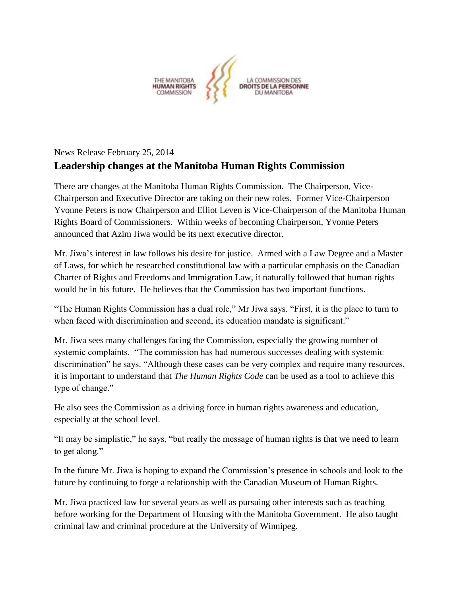

## News Release February 25, 2014 **Leadership changes at the Manitoba Human Rights Commission**

There are changes at the Manitoba Human Rights Commission. The Chairperson, Vice-Chairperson and Executive Director are taking on their new roles. Former Vice-Chairperson Yvonne Peters is now Chairperson and Elliot Leven is Vice-Chairperson of the Manitoba Human Rights Board of Commissioners. Within weeks of becoming Chairperson, Yvonne Peters announced that Azim Jiwa would be its next executive director.

Mr. Jiwa's interest in law follows his desire for justice. Armed with a Law Degree and a Master of Laws, for which he researched constitutional law with a particular emphasis on the Canadian Charter of Rights and Freedoms and Immigration Law, it naturally followed that human rights would be in his future. He believes that the Commission has two important functions.

"The Human Rights Commission has a dual role," Mr Jiwa says. "First, it is the place to turn to when faced with discrimination and second, its education mandate is significant."

Mr. Jiwa sees many challenges facing the Commission, especially the growing number of systemic complaints. "The commission has had numerous successes dealing with systemic discrimination" he says. "Although these cases can be very complex and require many resources, it is important to understand that *The Human Rights Code* can be used as a tool to achieve this type of change."

He also sees the Commission as a driving force in human rights awareness and education, especially at the school level.

"It may be simplistic," he says, "but really the message of human rights is that we need to learn to get along."

In the future Mr. Jiwa is hoping to expand the Commission's presence in schools and look to the future by continuing to forge a relationship with the Canadian Museum of Human Rights.

Mr. Jiwa practiced law for several years as well as pursuing other interests such as teaching before working for the Department of Housing with the Manitoba Government. He also taught criminal law and criminal procedure at the University of Winnipeg.